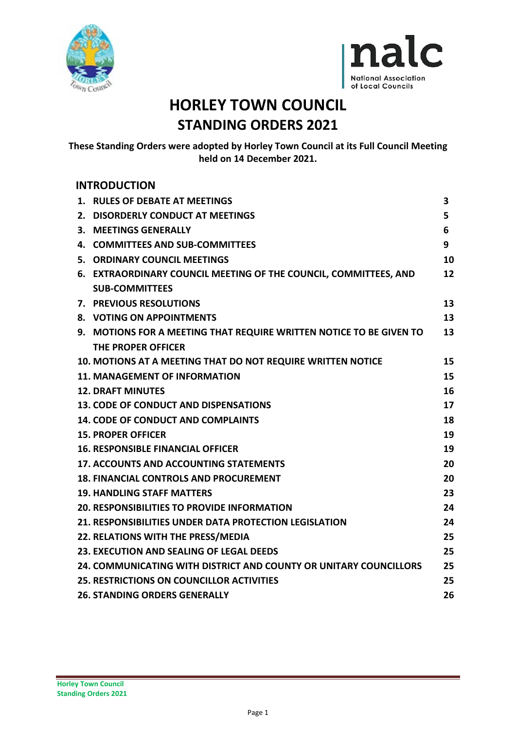



# **HORLEY TOWN COUNCIL STANDING ORDERS 2021**

**These Standing Orders were adopted by Horley Town Council at its Full Council Meeting held on 14 December 2021.**

# **INTRODUCTION**

|    | 1. RULES OF DEBATE AT MEETINGS                                      | 3  |
|----|---------------------------------------------------------------------|----|
| 2. | <b>DISORDERLY CONDUCT AT MEETINGS</b>                               | 5  |
| 3. | <b>MEETINGS GENERALLY</b>                                           | 6  |
|    | 4. COMMITTEES AND SUB-COMMITTEES                                    | 9  |
|    | 5. ORDINARY COUNCIL MEETINGS                                        | 10 |
|    | 6. EXTRAORDINARY COUNCIL MEETING OF THE COUNCIL, COMMITTEES, AND    | 12 |
|    | <b>SUB-COMMITTEES</b>                                               |    |
|    | 7. PREVIOUS RESOLUTIONS                                             | 13 |
|    | 8. VOTING ON APPOINTMENTS                                           | 13 |
|    | 9. MOTIONS FOR A MEETING THAT REQUIRE WRITTEN NOTICE TO BE GIVEN TO | 13 |
|    | THE PROPER OFFICER                                                  |    |
|    | 10. MOTIONS AT A MEETING THAT DO NOT REQUIRE WRITTEN NOTICE         | 15 |
|    | <b>11. MANAGEMENT OF INFORMATION</b>                                | 15 |
|    | <b>12. DRAFT MINUTES</b>                                            | 16 |
|    | <b>13. CODE OF CONDUCT AND DISPENSATIONS</b>                        | 17 |
|    | <b>14. CODE OF CONDUCT AND COMPLAINTS</b>                           | 18 |
|    | <b>15. PROPER OFFICER</b>                                           | 19 |
|    | <b>16. RESPONSIBLE FINANCIAL OFFICER</b>                            | 19 |
|    | <b>17. ACCOUNTS AND ACCOUNTING STATEMENTS</b>                       | 20 |
|    | <b>18. FINANCIAL CONTROLS AND PROCUREMENT</b>                       | 20 |
|    | <b>19. HANDLING STAFF MATTERS</b>                                   | 23 |
|    | <b>20. RESPONSIBILITIES TO PROVIDE INFORMATION</b>                  | 24 |
|    | 21. RESPONSIBILITIES UNDER DATA PROTECTION LEGISLATION              | 24 |
|    | 22. RELATIONS WITH THE PRESS/MEDIA                                  | 25 |
|    | 23. EXECUTION AND SEALING OF LEGAL DEEDS                            | 25 |
|    | 24. COMMUNICATING WITH DISTRICT AND COUNTY OR UNITARY COUNCILLORS   | 25 |
|    | <b>25. RESTRICTIONS ON COUNCILLOR ACTIVITIES</b>                    | 25 |
|    | <b>26. STANDING ORDERS GENERALLY</b>                                | 26 |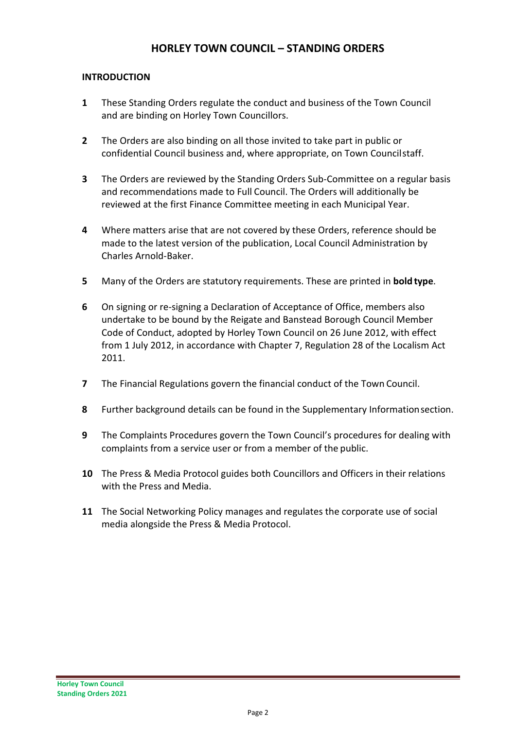# **HORLEY TOWN COUNCIL – STANDING ORDERS**

## **INTRODUCTION**

- **1** These Standing Orders regulate the conduct and business of the Town Council and are binding on Horley Town Councillors.
- **2** The Orders are also binding on all those invited to take part in public or confidential Council business and, where appropriate, on Town Councilstaff.
- **3** The Orders are reviewed by the Standing Orders Sub-Committee on a regular basis and recommendations made to Full Council. The Orders will additionally be reviewed at the first Finance Committee meeting in each Municipal Year.
- **4** Where matters arise that are not covered by these Orders, reference should be made to the latest version of the publication, Local Council Administration by Charles Arnold-Baker.
- **5** Many of the Orders are statutory requirements. These are printed in **bold type**.
- **6** On signing or re-signing a Declaration of Acceptance of Office, members also undertake to be bound by the Reigate and Banstead Borough Council Member Code of Conduct, adopted by Horley Town Council on 26 June 2012, with effect from 1 July 2012, in accordance with Chapter 7, Regulation 28 of the Localism Act 2011.
- **7** The Financial Regulations govern the financial conduct of the Town Council.
- **8** Further background details can be found in the Supplementary Informationsection.
- **9** The Complaints Procedures govern the Town Council's procedures for dealing with complaints from a service user or from a member of the public.
- **10** The Press & Media Protocol guides both Councillors and Officers in their relations with the Press and Media.
- **11** The Social Networking Policy manages and regulates the corporate use of social media alongside the Press & Media Protocol.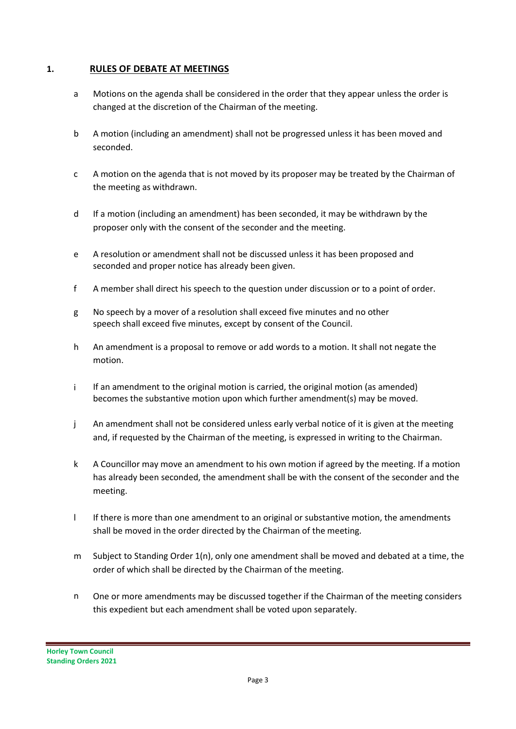## **1. RULES OF DEBATE AT MEETINGS**

- a Motions on the agenda shall be considered in the order that they appear unless the order is changed at the discretion of the Chairman of the meeting.
- b A motion (including an amendment) shall not be progressed unless it has been moved and seconded.
- c A motion on the agenda that is not moved by its proposer may be treated by the Chairman of the meeting as withdrawn.
- d If a motion (including an amendment) has been seconded, it may be withdrawn by the proposer only with the consent of the seconder and the meeting.
- e A resolution or amendment shall not be discussed unless it has been proposed and seconded and proper notice has already been given.
- f A member shall direct his speech to the question under discussion or to a point of order.
- g No speech by a mover of a resolution shall exceed five minutes and no other speech shall exceed five minutes, except by consent of the Council.
- h An amendment is a proposal to remove or add words to a motion. It shall not negate the motion.
- i If an amendment to the original motion is carried, the original motion (as amended) becomes the substantive motion upon which further amendment(s) may be moved.
- j An amendment shall not be considered unless early verbal notice of it is given at the meeting and, if requested by the Chairman of the meeting, is expressed in writing to the Chairman.
- k A Councillor may move an amendment to his own motion if agreed by the meeting. If a motion has already been seconded, the amendment shall be with the consent of the seconder and the meeting.
- l If there is more than one amendment to an original or substantive motion, the amendments shall be moved in the order directed by the Chairman of the meeting.
- m Subject to Standing Order 1(n), only one amendment shall be moved and debated at a time, the order of which shall be directed by the Chairman of the meeting.
- n One or more amendments may be discussed together if the Chairman of the meeting considers this expedient but each amendment shall be voted upon separately.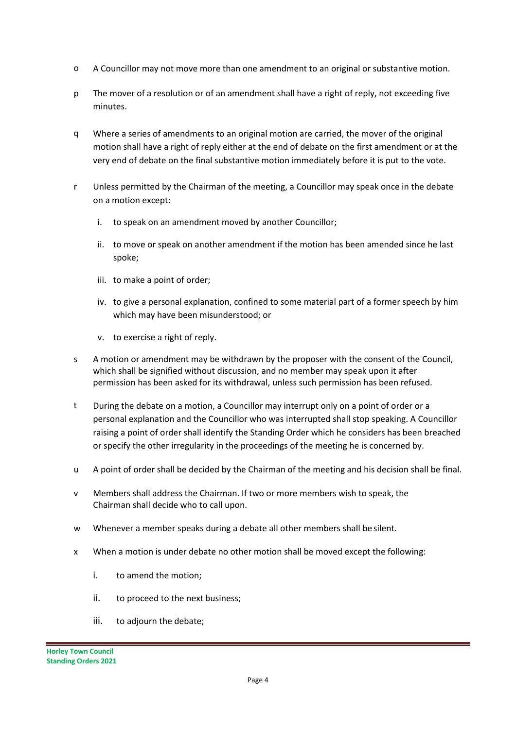- o A Councillor may not move more than one amendment to an original or substantive motion.
- p The mover of a resolution or of an amendment shall have a right of reply, not exceeding five minutes.
- q Where a series of amendments to an original motion are carried, the mover of the original motion shall have a right of reply either at the end of debate on the first amendment or at the very end of debate on the final substantive motion immediately before it is put to the vote.
- r Unless permitted by the Chairman of the meeting, a Councillor may speak once in the debate on a motion except:
	- i. to speak on an amendment moved by another Councillor;
	- ii. to move or speak on another amendment if the motion has been amended since he last spoke;
	- iii. to make a point of order;
	- iv. to give a personal explanation, confined to some material part of a former speech by him which may have been misunderstood; or
	- v. to exercise a right of reply.
- s A motion or amendment may be withdrawn by the proposer with the consent of the Council, which shall be signified without discussion, and no member may speak upon it after permission has been asked for its withdrawal, unless such permission has been refused.
- t During the debate on a motion, a Councillor may interrupt only on a point of order or a personal explanation and the Councillor who was interrupted shall stop speaking. A Councillor raising a point of order shall identify the Standing Order which he considers has been breached or specify the other irregularity in the proceedings of the meeting he is concerned by.
- u A point of order shall be decided by the Chairman of the meeting and his decision shall be final.
- v Members shall address the Chairman. If two or more members wish to speak, the Chairman shall decide who to call upon.
- w Whenever a member speaks during a debate all other members shall besilent.
- x When a motion is under debate no other motion shall be moved except the following:
	- i. to amend the motion;
	- ii. to proceed to the next business;
	- iii. to adjourn the debate;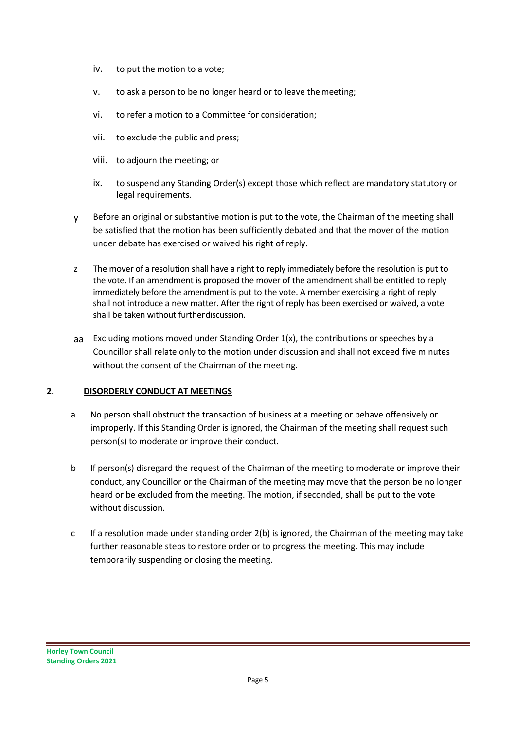- iv. to put the motion to a vote;
- v. to ask a person to be no longer heard or to leave themeeting;
- vi. to refer a motion to a Committee for consideration;
- vii. to exclude the public and press;
- viii. to adjourn the meeting; or
- ix. to suspend any Standing Order(s) except those which reflect are mandatory statutory or legal requirements.
- y Before an original or substantive motion is put to the vote, the Chairman of the meeting shall be satisfied that the motion has been sufficiently debated and that the mover of the motion under debate has exercised or waived his right of reply.
- z The mover of a resolution shall have a right to reply immediately before the resolution is put to the vote. If an amendment is proposed the mover of the amendment shall be entitled to reply immediately before the amendment is put to the vote. A member exercising a right of reply shall not introduce a new matter. After the right of reply has been exercised or waived, a vote shall be taken without furtherdiscussion.
- aa Excluding motions moved under Standing Order  $1(x)$ , the contributions or speeches by a Councillor shall relate only to the motion under discussion and shall not exceed five minutes without the consent of the Chairman of the meeting.

#### **2. DISORDERLY CONDUCT AT MEETINGS**

- a No person shall obstruct the transaction of business at a meeting or behave offensively or improperly. If this Standing Order is ignored, the Chairman of the meeting shall request such person(s) to moderate or improve their conduct.
- b If person(s) disregard the request of the Chairman of the meeting to moderate or improve their conduct, any Councillor or the Chairman of the meeting may move that the person be no longer heard or be excluded from the meeting. The motion, if seconded, shall be put to the vote without discussion.
- c If a resolution made under standing order 2(b) is ignored, the Chairman of the meeting may take further reasonable steps to restore order or to progress the meeting. This may include temporarily suspending or closing the meeting.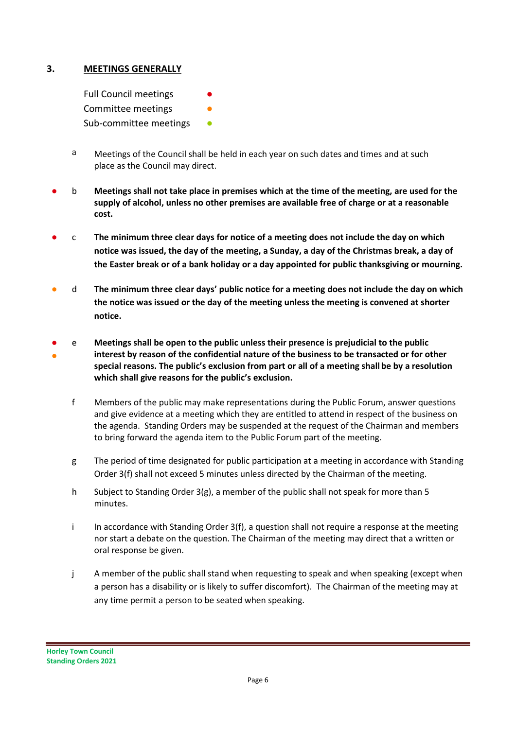## **3. MEETINGS GENERALLY**

Full Council meetings

Committee meetings

Sub-committee meetings **•** 

- a Meetings of the Council shall be held in each year on such dates and times and at such place as the Council may direct.
- b **Meetings shall not take place in premises which at the time of the meeting, are used for the supply of alcohol, unless no other premises are available free of charge or at a reasonable cost.**
- c **The minimum three clear days for notice of a meeting does not include the day on which notice was issued, the day of the meeting, a Sunday, a day of the Christmas break, a day of the Easter break or of a bank holiday or a day appointed for public thanksgiving or mourning.**
- d **The minimum three clear days' public notice for a meeting does not include the day on which the notice was issued or the day of the meeting unless the meeting is convened at shorter notice.**
- ● e **Meetings shall be open to the public unless their presence is prejudicial to the public interest by reason of the confidential nature of the business to be transacted or for other special reasons. The public's exclusion from part or all of a meeting shallbe by a resolution which shall give reasons for the public's exclusion.**
	- f Members of the public may make representations during the Public Forum, answer questions and give evidence at a meeting which they are entitled to attend in respect of the business on the agenda. Standing Orders may be suspended at the request of the Chairman and members to bring forward the agenda item to the Public Forum part of the meeting.
	- g The period of time designated for public participation at a meeting in accordance with Standing Order 3(f) shall not exceed 5 minutes unless directed by the Chairman of the meeting.
	- h Subject to Standing Order 3(g), a member of the public shall not speak for more than 5 minutes.
	- i In accordance with Standing Order  $3(f)$ , a question shall not require a response at the meeting nor start a debate on the question. The Chairman of the meeting may direct that a written or oral response be given.
	- j A member of the public shall stand when requesting to speak and when speaking (except when a person has a disability or is likely to suffer discomfort). The Chairman of the meeting may at any time permit a person to be seated when speaking.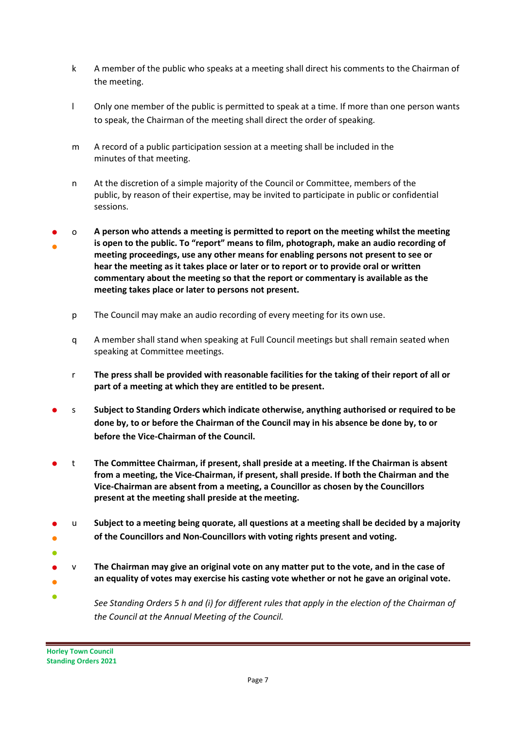- k A member of the public who speaks at a meeting shall direct his comments to the Chairman of the meeting.
- l Only one member of the public is permitted to speak at a time. If more than one person wants to speak, the Chairman of the meeting shall direct the order of speaking.
- m A record of a public participation session at a meeting shall be included in the minutes of that meeting.
- n At the discretion of a simple majority of the Council or Committee, members of the public, by reason of their expertise, may be invited to participate in public or confidential sessions.
- ● o **A person who attends a meeting is permitted to report on the meeting whilst the meeting is open to the public. To "report" means to film, photograph, make an audio recording of meeting proceedings, use any other means for enabling persons not present to see or hear the meeting as it takes place or later or to report or to provide oral or written commentary about the meeting so that the report or commentary is available as the meeting takes place or later to persons not present.**
	- p The Council may make an audio recording of every meeting for its own use.
	- q A member shall stand when speaking at Full Council meetings but shall remain seated when speaking at Committee meetings.
	- r **The press shall be provided with reasonable facilities for the taking of their report of all or part of a meeting at which they are entitled to be present.**
- s **Subject to Standing Orders which indicate otherwise, anything authorised or required to be done by, to or before the Chairman of the Council may in his absence be done by, to or before the Vice-Chairman of the Council.**
- t **The Committee Chairman, if present, shall preside at a meeting. If the Chairman is absent from a meeting, the Vice-Chairman, if present, shall preside. If both the Chairman and the Vice-Chairman are absent from a meeting, a Councillor as chosen by the Councillors present at the meeting shall preside at the meeting.**
- ● u **Subject to a meeting being quorate, all questions at a meeting shall be decided by a majority of the Councillors and Non-Councillors with voting rights present and voting.**
- ●
- ● v **The Chairman may give an original vote on any matter put to the vote, and in the case of an equality of votes may exercise his casting vote whether or not he gave an original vote.**
- *See Standing Orders 5 h and (i) for different rules that apply in the election of the Chairman of the Council at the Annual Meeting of the Council.*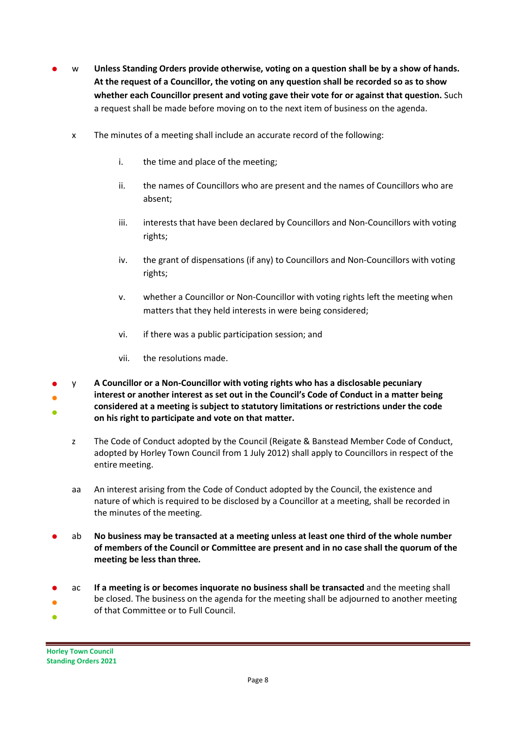- w **Unless Standing Orders provide otherwise, voting on a question shall be by a show of hands. At the request of a Councillor, the voting on any question shall be recorded so as to show whether each Councillor present and voting gave their vote for or against that question.** Such a request shall be made before moving on to the next item of business on the agenda.
	- x The minutes of a meeting shall include an accurate record of the following:
		- i. the time and place of the meeting;
		- ii. the names of Councillors who are present and the names of Councillors who are absent;
		- iii. interests that have been declared by Councillors and Non-Councillors with voting rights;
		- iv. the grant of dispensations (if any) to Councillors and Non-Councillors with voting rights;
		- v. whether a Councillor or Non-Councillor with voting rights left the meeting when matters that they held interests in were being considered;
		- vi. if there was a public participation session; and
		- vii. the resolutions made.
- ● ● y **A Councillor or a Non-Councillor with voting rights who has a disclosable pecuniary interest or another interest as set out in the Council's Code of Conduct in a matter being considered at a meeting is subject to statutory limitations or restrictions under the code on his right to participate and vote on that matter.**
	- z The Code of Conduct adopted by the Council (Reigate & Banstead Member Code of Conduct, adopted by Horley Town Council from 1 July 2012) shall apply to Councillors in respect of the entire meeting.
	- aa An interest arising from the Code of Conduct adopted by the Council, the existence and nature of which is required to be disclosed by a Councillor at a meeting, shall be recorded in the minutes of the meeting.
- ab **No business may be transacted at a meeting unless at least one third of the whole number of members of the Council or Committee are present and in no case shall the quorum of the meeting be less than three.**
- ● ● ac **If a meeting is or becomes inquorate no business shall be transacted** and the meeting shall be closed. The business on the agenda for the meeting shall be adjourned to another meeting of that Committee or to Full Council.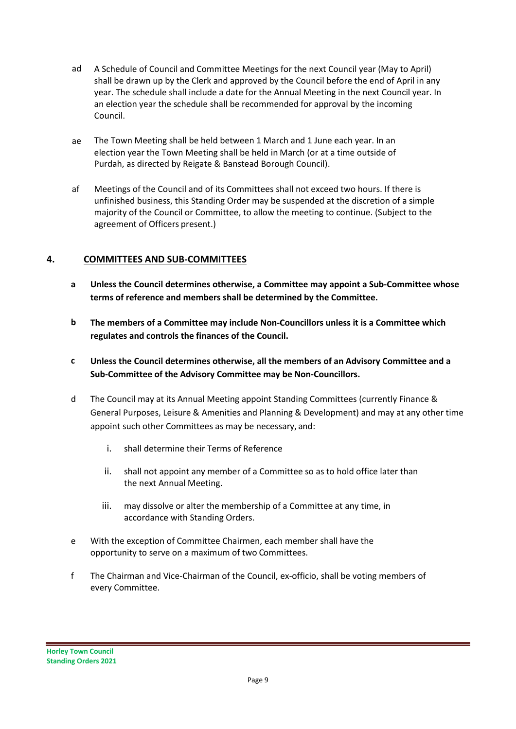- ad A Schedule of Council and Committee Meetings for the next Council year (May to April) shall be drawn up by the Clerk and approved by the Council before the end of April in any year. The schedule shall include a date for the Annual Meeting in the next Council year. In an election year the schedule shall be recommended for approval by the incoming Council.
- ae The Town Meeting shall be held between 1 March and 1 June each year. In an election year the Town Meeting shall be held in March (or at a time outside of Purdah, as directed by Reigate & Banstead Borough Council).
- af Meetings of the Council and of its Committees shall not exceed two hours. If there is unfinished business, this Standing Order may be suspended at the discretion of a simple majority of the Council or Committee, to allow the meeting to continue. (Subject to the agreement of Officers present.)

## **4. COMMITTEES AND SUB-COMMITTEES**

- **a Unless the Council determines otherwise, a Committee may appoint a Sub-Committee whose terms of reference and members shall be determined by the Committee.**
- **b The members of a Committee may include Non-Councillors unless it is a Committee which regulates and controls the finances of the Council.**
- **c Unless the Council determines otherwise, all the members of an Advisory Committee and a Sub-Committee of the Advisory Committee may be Non-Councillors.**
- d The Council may at its Annual Meeting appoint Standing Committees (currently Finance & General Purposes, Leisure & Amenities and Planning & Development) and may at any other time appoint such other Committees as may be necessary, and:
	- i. shall determine their Terms of Reference
	- ii. shall not appoint any member of a Committee so as to hold office later than the next Annual Meeting.
	- iii. may dissolve or alter the membership of a Committee at any time, in accordance with Standing Orders.
- e With the exception of Committee Chairmen, each member shall have the opportunity to serve on a maximum of two Committees.
- f The Chairman and Vice-Chairman of the Council, ex-officio, shall be voting members of every Committee.

**Horley Town Council Standing Orders 2021**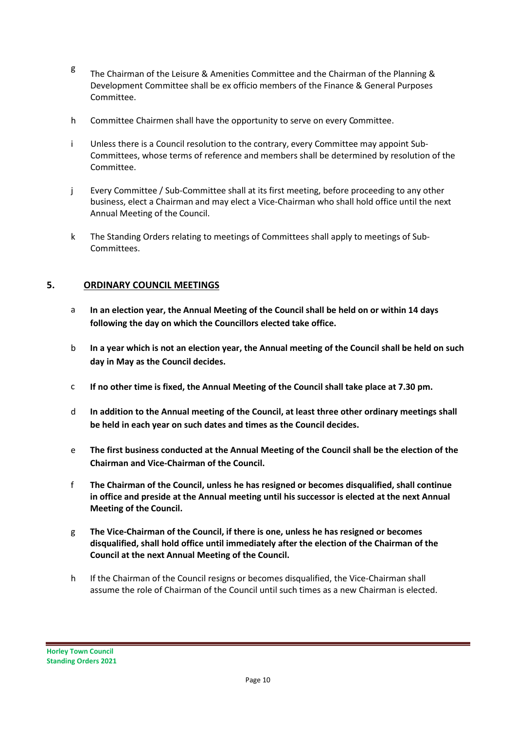- <sup>g</sup> The Chairman of the Leisure & Amenities Committee and the Chairman of the Planning & Development Committee shall be ex officio members of the Finance & General Purposes Committee.
- h Committee Chairmen shall have the opportunity to serve on every Committee.
- i Unless there is a Council resolution to the contrary, every Committee may appoint Sub-Committees, whose terms of reference and members shall be determined by resolution of the Committee.
- j Every Committee / Sub-Committee shall at its first meeting, before proceeding to any other business, elect a Chairman and may elect a Vice-Chairman who shall hold office until the next Annual Meeting of the Council.
- k The Standing Orders relating to meetings of Committees shall apply to meetings of Sub-Committees.

## **5. ORDINARY COUNCIL MEETINGS**

- a **In an election year, the Annual Meeting of the Council shall be held on or within 14 days following the day on which the Councillors elected take office.**
- b **In a year which is not an election year, the Annual meeting of the Council shall be held on such day in May as the Council decides.**
- c **If no other time is fixed, the Annual Meeting of the Council shall take place at 7.30 pm.**
- d **In addition to the Annual meeting of the Council, at least three other ordinary meetings shall be held in each year on such dates and times as the Council decides.**
- e **The first business conducted at the Annual Meeting of the Council shall be the election of the Chairman and Vice-Chairman of the Council.**
- f **The Chairman of the Council, unless he has resigned or becomes disqualified, shall continue in office and preside at the Annual meeting until his successor is elected at the next Annual Meeting of the Council.**
- g **The Vice-Chairman of the Council, if there is one, unless he has resigned or becomes disqualified, shall hold office until immediately after the election of the Chairman of the Council at the next Annual Meeting of the Council.**
- h If the Chairman of the Council resigns or becomes disqualified, the Vice-Chairman shall assume the role of Chairman of the Council until such times as a new Chairman is elected.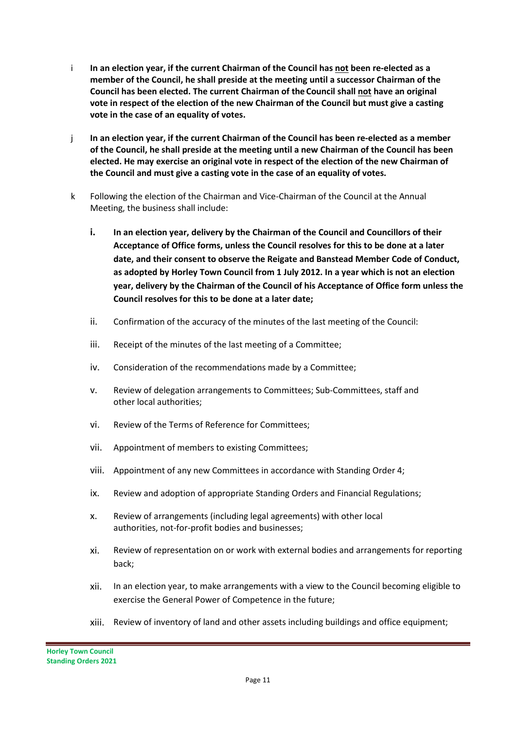- i **In an election year, if the current Chairman of the Council has not been re-elected as a member of the Council, he shall preside at the meeting until a successor Chairman of the Council has been elected. The current Chairman of the Council shall not have an original vote in respect of the election of the new Chairman of the Council but must give a casting vote in the case of an equality of votes.**
- j **In an election year, if the current Chairman of the Council has been re-elected as a member of the Council, he shall preside at the meeting until a new Chairman of the Council has been elected. He may exercise an original vote in respect of the election of the new Chairman of the Council and must give a casting vote in the case of an equality of votes.**
- k Following the election of the Chairman and Vice-Chairman of the Council at the Annual Meeting, the business shall include:
	- **i. In an election year, delivery by the Chairman of the Council and Councillors of their Acceptance of Office forms, unless the Council resolves for this to be done at a later date, and their consent to observe the Reigate and Banstead Member Code of Conduct, as adopted by Horley Town Council from 1 July 2012. In a year which is not an election year, delivery by the Chairman of the Council of his Acceptance of Office form unless the Council resolves for this to be done at a later date;**
	- ii. Confirmation of the accuracy of the minutes of the last meeting of the Council:
	- iii. Receipt of the minutes of the last meeting of a Committee;
	- iv. Consideration of the recommendations made by a Committee;
	- v. Review of delegation arrangements to Committees; Sub-Committees, staff and other local authorities;
	- vi. Review of the Terms of Reference for Committees;
	- vii. Appointment of members to existing Committees;
	- viii. Appointment of any new Committees in accordance with Standing Order 4;
	- ix. Review and adoption of appropriate Standing Orders and Financial Regulations;
	- x. Review of arrangements (including legal agreements) with other local authorities, not-for-profit bodies and businesses;
	- xi. Review of representation on or work with external bodies and arrangements for reporting back;
	- xii. In an election year, to make arrangements with a view to the Council becoming eligible to exercise the General Power of Competence in the future;
	- xiii. Review of inventory of land and other assets including buildings and office equipment;

**Horley Town Council Standing Orders 2021**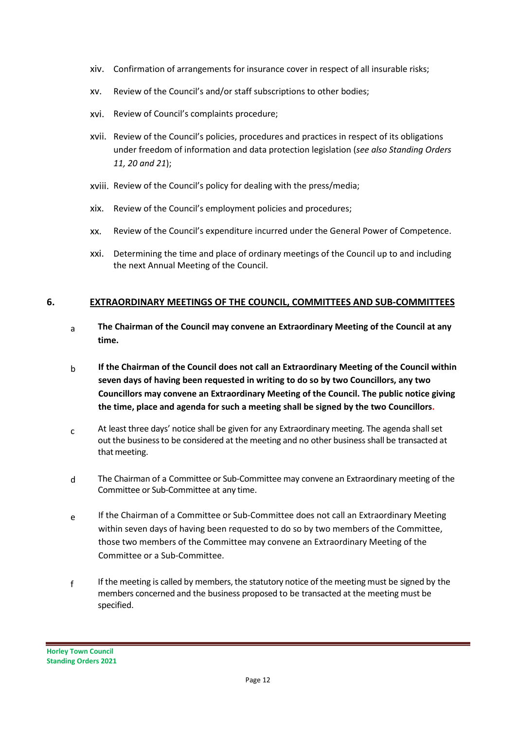- xiv. Confirmation of arrangements for insurance cover in respect of all insurable risks;
- xv. Review of the Council's and/or staff subscriptions to other bodies;
- xvi. Review of Council's complaints procedure;
- xvii. Review of the Council's policies, procedures and practices in respect of its obligations under freedom of information and data protection legislation (*see also Standing Orders 11, 20 and 21*);
- xviii. Review of the Council's policy for dealing with the press/media;
- xix. Review of the Council's employment policies and procedures;
- xx. Review of the Council's expenditure incurred under the General Power of Competence.
- xxi. Determining the time and place of ordinary meetings of the Council up to and including the next Annual Meeting of the Council.

#### **6. EXTRAORDINARY MEETINGS OF THE COUNCIL, COMMITTEES AND SUB-COMMITTEES**

- a **The Chairman of the Council may convene an Extraordinary Meeting of the Council at any time.**
- b **If the Chairman of the Council does not call an Extraordinary Meeting of the Council within seven days of having been requested in writing to do so by two Councillors, any two Councillors may convene an Extraordinary Meeting of the Council. The public notice giving the time, place and agenda for such a meeting shall be signed by the two Councillors.**
- $c$  At least three days' notice shall be given for any Extraordinary meeting. The agenda shall set out the businessto be considered at the meeting and no other businessshall be transacted at that meeting.
- d The Chairman of a Committee or Sub-Committee may convene an Extraordinary meeting of the Committee or Sub-Committee at any time.
- e If the Chairman of a Committee or Sub-Committee does not call an Extraordinary Meeting within seven days of having been requested to do so by two members of the Committee, those two members of the Committee may convene an Extraordinary Meeting of the Committee or a Sub-Committee.
- f If the meeting is called by members, the statutory notice of the meeting must be signed by the members concerned and the business proposed to be transacted at the meeting must be specified.

**Horley Town Council Standing Orders 2021**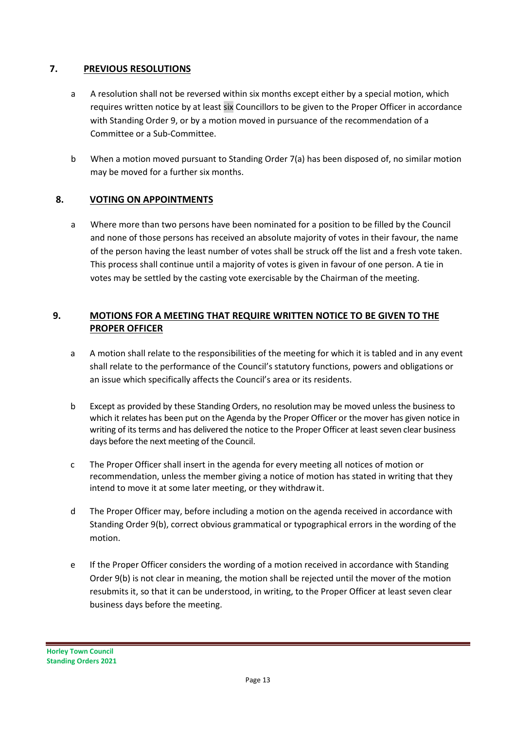## **7. PREVIOUS RESOLUTIONS**

- a A resolution shall not be reversed within six months except either by a special motion, which requires written notice by at least six Councillors to be given to the Proper Officer in accordance with Standing Order 9, or by a motion moved in pursuance of the recommendation of a Committee or a Sub-Committee.
- b When a motion moved pursuant to Standing Order 7(a) has been disposed of, no similar motion may be moved for a further six months.

# **8. VOTING ON APPOINTMENTS**

a Where more than two persons have been nominated for a position to be filled by the Council and none of those persons has received an absolute majority of votes in their favour, the name of the person having the least number of votes shall be struck off the list and a fresh vote taken. This process shall continue until a majority of votes is given in favour of one person. A tie in votes may be settled by the casting vote exercisable by the Chairman of the meeting.

# **9. MOTIONS FOR A MEETING THAT REQUIRE WRITTEN NOTICE TO BE GIVEN TO THE PROPER OFFICER**

- a A motion shall relate to the responsibilities of the meeting for which it is tabled and in any event shall relate to the performance of the Council's statutory functions, powers and obligations or an issue which specifically affects the Council's area or its residents.
- b Except as provided by these Standing Orders, no resolution may be moved unless the business to which it relates has been put on the Agenda by the Proper Officer or the mover has given notice in writing of its terms and has delivered the notice to the Proper Officer at least seven clear business days before the next meeting of the Council.
- c The Proper Officer shall insert in the agenda for every meeting all notices of motion or recommendation, unless the member giving a notice of motion has stated in writing that they intend to move it at some later meeting, or they withdrawit.
- d The Proper Officer may, before including a motion on the agenda received in accordance with Standing Order 9(b), correct obvious grammatical or typographical errors in the wording of the motion.
- e If the Proper Officer considers the wording of a motion received in accordance with Standing Order 9(b) is not clear in meaning, the motion shall be rejected until the mover of the motion resubmits it, so that it can be understood, in writing, to the Proper Officer at least seven clear business days before the meeting.

**Horley Town Council Standing Orders 2021**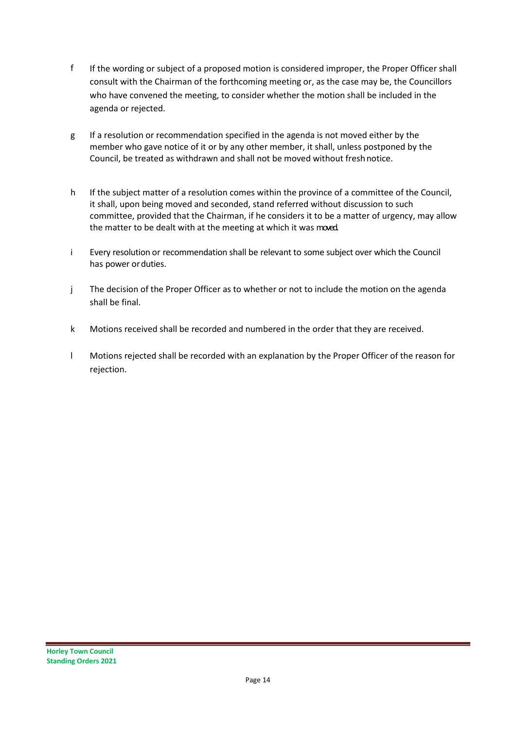- f If the wording or subject of a proposed motion is considered improper, the Proper Officer shall consult with the Chairman of the forthcoming meeting or, as the case may be, the Councillors who have convened the meeting, to consider whether the motion shall be included in the agenda or rejected.
- g If a resolution or recommendation specified in the agenda is not moved either by the member who gave notice of it or by any other member, it shall, unless postponed by the Council, be treated as withdrawn and shall not be moved without freshnotice.
- h If the subject matter of a resolution comes within the province of a committee of the Council, it shall, upon being moved and seconded, stand referred without discussion to such committee, provided that the Chairman, if he considers it to be a matter of urgency, may allow the matter to be dealt with at the meeting at which it was moved.
- i Every resolution or recommendation shall be relevant to some subject over which the Council has power orduties.
- j The decision of the Proper Officer as to whether or not to include the motion on the agenda shall be final.
- k Motions received shall be recorded and numbered in the order that they are received.
- l Motions rejected shall be recorded with an explanation by the Proper Officer of the reason for rejection.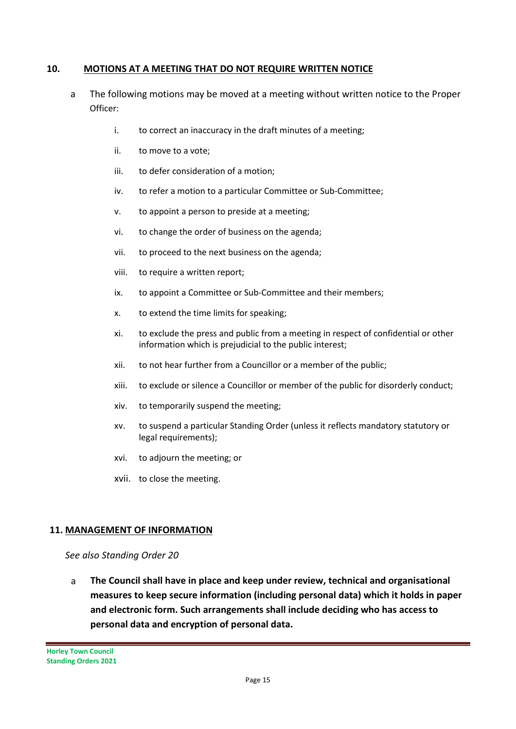## **10. MOTIONS AT A MEETING THAT DO NOT REQUIRE WRITTEN NOTICE**

- a The following motions may be moved at a meeting without written notice to the Proper Officer:
	- i. to correct an inaccuracy in the draft minutes of a meeting;
	- ii. to move to a vote;
	- iii. to defer consideration of a motion;
	- iv. to refer a motion to a particular Committee or Sub-Committee;
	- v. to appoint a person to preside at a meeting;
	- vi. to change the order of business on the agenda;
	- vii. to proceed to the next business on the agenda;
	- viii. to require a written report;
	- ix. to appoint a Committee or Sub-Committee and their members;
	- x. to extend the time limits for speaking;
	- xi. to exclude the press and public from a meeting in respect of confidential or other information which is prejudicial to the public interest;
	- xii. to not hear further from a Councillor or a member of the public;
	- xiii. to exclude or silence a Councillor or member of the public for disorderly conduct;
	- xiv. to temporarily suspend the meeting;
	- xv. to suspend a particular Standing Order (unless it reflects mandatory statutory or legal requirements);
	- xvi. to adjourn the meeting; or
	- xvii. to close the meeting.

## **11. MANAGEMENT OF INFORMATION**

#### *See also Standing Order 20*

a **The Council shall have in place and keep under review, technical and organisational measures to keep secure information (including personal data) which it holds in paper and electronic form. Such arrangements shall include deciding who has access to personal data and encryption of personal data.**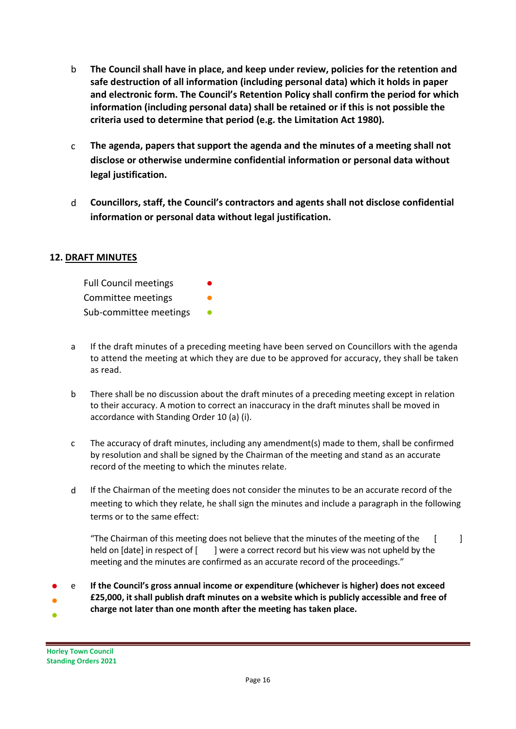- b **The Council shall have in place, and keep under review, policies for the retention and safe destruction of all information (including personal data) which it holds in paper and electronic form. The Council's Retention Policy shall confirm the period for which information (including personal data) shall be retained or if this is not possible the criteria used to determine that period (e.g. the Limitation Act 1980).**
- c **The agenda, papers that support the agenda and the minutes of a meeting shall not disclose or otherwise undermine confidential information or personal data without legal justification.**
- d **Councillors, staff, the Council's contractors and agents shall not disclose confidential information or personal data without legal justification.**

# **12. DRAFT MINUTES**

| <b>Full Council meetings</b> |  |
|------------------------------|--|
| Committee meetings           |  |
| Sub-committee meetings       |  |

- a If the draft minutes of a preceding meeting have been served on Councillors with the agenda to attend the meeting at which they are due to be approved for accuracy, they shall be taken as read.
- b There shall be no discussion about the draft minutes of a preceding meeting except in relation to their accuracy. A motion to correct an inaccuracy in the draft minutes shall be moved in accordance with Standing Order 10 (a) (i).
- c The accuracy of draft minutes, including any amendment(s) made to them, shall be confirmed by resolution and shall be signed by the Chairman of the meeting and stand as an accurate record of the meeting to which the minutes relate.
- d If the Chairman of the meeting does not consider the minutes to be an accurate record of the meeting to which they relate, he shall sign the minutes and include a paragraph in the following terms or to the same effect:

"The Chairman of this meeting does not believe that the minutes of the meeting of the  $\left[ \right]$ held on [date] in respect of [ ] were a correct record but his view was not upheld by the meeting and the minutes are confirmed as an accurate record of the proceedings."

- e **If the Council's gross annual income or expenditure (whichever is higher) does not exceed**
- **£25,000, it shall publish draft minutes on a website which is publicly accessible and free of charge not later than one month after the meeting has taken place.**
- 

●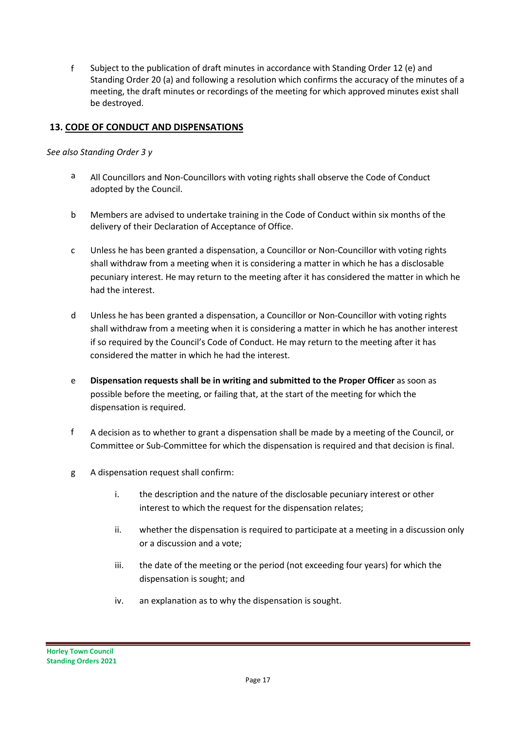f Subject to the publication of draft minutes in accordance with Standing Order 12 (e) and Standing Order 20 (a) and following a resolution which confirms the accuracy of the minutes of a meeting, the draft minutes or recordings of the meeting for which approved minutes exist shall be destroyed.

# **13. CODE OF CONDUCT AND DISPENSATIONS**

## *See also Standing Order 3 y*

- a All Councillors and Non-Councillors with voting rights shall observe the Code of Conduct adopted by the Council.
- b Members are advised to undertake training in the Code of Conduct within six months of the delivery of their Declaration of Acceptance of Office.
- c Unless he has been granted a dispensation, a Councillor or Non-Councillor with voting rights shall withdraw from a meeting when it is considering a matter in which he has a disclosable pecuniary interest. He may return to the meeting after it has considered the matter in which he had the interest.
- d Unless he has been granted a dispensation, a Councillor or Non-Councillor with voting rights shall withdraw from a meeting when it is considering a matter in which he has another interest if so required by the Council's Code of Conduct. He may return to the meeting after it has considered the matter in which he had the interest.
- e **Dispensation requests shall be in writing and submitted to the Proper Officer** as soon as possible before the meeting, or failing that, at the start of the meeting for which the dispensation is required.
- f A decision as to whether to grant a dispensation shall be made by a meeting of the Council, or Committee or Sub-Committee for which the dispensation is required and that decision is final.
- g A dispensation request shall confirm:
	- i. the description and the nature of the disclosable pecuniary interest or other interest to which the request for the dispensation relates;
	- ii. whether the dispensation is required to participate at a meeting in a discussion only or a discussion and a vote;
	- iii. the date of the meeting or the period (not exceeding four years) for which the dispensation is sought; and
	- iv. an explanation as to why the dispensation is sought.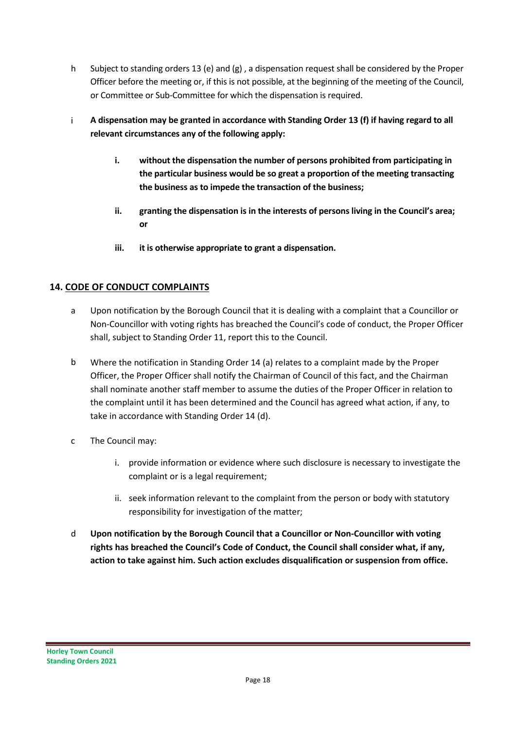- h Subject to standing orders 13 (e) and (g) , a dispensation request shall be considered by the Proper Officer before the meeting or, if this is not possible, at the beginning of the meeting of the Council, or Committee or Sub-Committee for which the dispensation is required.
- i **A dispensation may be granted in accordance with Standing Order 13 (f) if having regard to all relevant circumstances any of the following apply:**
	- **i. without the dispensation the number of persons prohibited from participating in the particular business would be so great a proportion of the meeting transacting the business as to impede the transaction of the business;**
	- **ii. granting the dispensation is in the interests of persons living in the Council's area; or**
	- **iii. it is otherwise appropriate to grant a dispensation.**

# **14. CODE OF CONDUCT COMPLAINTS**

- a Upon notification by the Borough Council that it is dealing with a complaint that a Councillor or Non-Councillor with voting rights has breached the Council's code of conduct, the Proper Officer shall, subject to Standing Order 11, report this to the Council.
- b Where the notification in Standing Order 14 (a) relates to a complaint made by the Proper Officer, the Proper Officer shall notify the Chairman of Council of this fact, and the Chairman shall nominate another staff member to assume the duties of the Proper Officer in relation to the complaint until it has been determined and the Council has agreed what action, if any, to take in accordance with Standing Order 14 (d).
- c The Council may:
	- i. provide information or evidence where such disclosure is necessary to investigate the complaint or is a legal requirement;
	- ii. seek information relevant to the complaint from the person or body with statutory responsibility for investigation of the matter;
- d **Upon notification by the Borough Council that a Councillor or Non-Councillor with voting rights has breached the Council's Code of Conduct, the Council shall consider what, if any, action to take against him. Such action excludes disqualification or suspension from office.**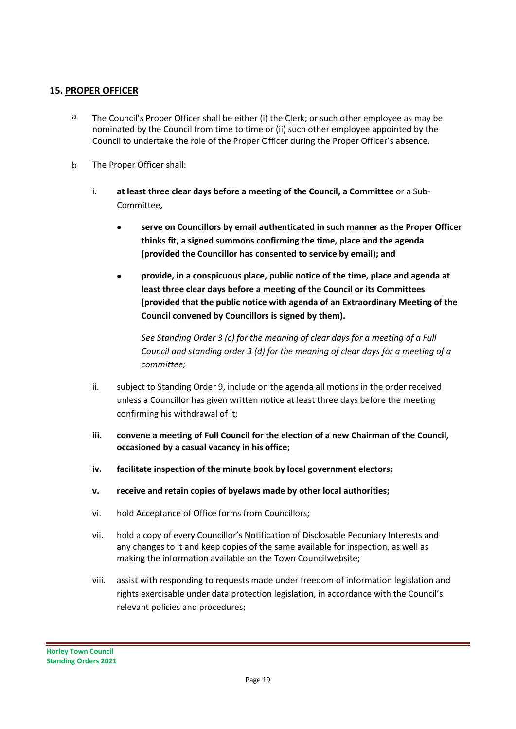## **15. PROPER OFFICER**

- <sup>a</sup> The Council's Proper Officer shall be either (i) the Clerk; or such other employee as may be nominated by the Council from time to time or (ii) such other employee appointed by the Council to undertake the role of the Proper Officer during the Proper Officer's absence.
- b The Proper Officer shall:
	- i. **at least three clear days before a meeting of the Council, a Committee** or a Sub-Committee**,**
		- **serve on Councillors by email authenticated in such manner as the Proper Officer thinks fit, a signed summons confirming the time, place and the agenda (provided the Councillor has consented to service by email); and**
		- **provide, in a conspicuous place, public notice of the time, place and agenda at least three clear days before a meeting of the Council or its Committees (provided that the public notice with agenda of an Extraordinary Meeting of the Council convened by Councillors is signed by them).**

*See Standing Order 3 (c) for the meaning of clear days for a meeting of a Full Council and standing order 3 (d) for the meaning of clear days for a meeting of a committee;*

- ii. subject to Standing Order 9, include on the agenda all motions in the order received unless a Councillor has given written notice at least three days before the meeting confirming his withdrawal of it;
- **iii. convene a meeting of Full Council for the election of a new Chairman of the Council, occasioned by a casual vacancy in his office;**
- **iv. facilitate inspection of the minute book by local government electors;**
- **v. receive and retain copies of byelaws made by other local authorities;**
- vi. hold Acceptance of Office forms from Councillors;
- vii. hold a copy of every Councillor's Notification of Disclosable Pecuniary Interests and any changes to it and keep copies of the same available for inspection, as well as making the information available on the Town Councilwebsite;
- viii. assist with responding to requests made under freedom of information legislation and rights exercisable under data protection legislation, in accordance with the Council's relevant policies and procedures;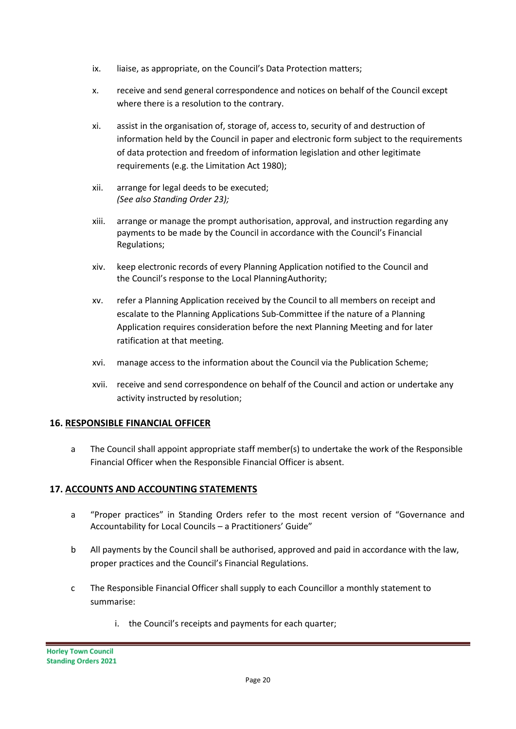- ix. liaise, as appropriate, on the Council's Data Protection matters;
- x. receive and send general correspondence and notices on behalf of the Council except where there is a resolution to the contrary.
- xi. assist in the organisation of, storage of, access to, security of and destruction of information held by the Council in paper and electronic form subject to the requirements of data protection and freedom of information legislation and other legitimate requirements (e.g. the Limitation Act 1980);
- xii. arrange for legal deeds to be executed; *(See also Standing Order 23);*
- xiii. arrange or manage the prompt authorisation, approval, and instruction regarding any payments to be made by the Council in accordance with the Council's Financial Regulations;
- xiv. keep electronic records of every Planning Application notified to the Council and the Council's response to the Local PlanningAuthority;
- xv. refer a Planning Application received by the Council to all members on receipt and escalate to the Planning Applications Sub-Committee if the nature of a Planning Application requires consideration before the next Planning Meeting and for later ratification at that meeting.
- xvi. manage access to the information about the Council via the Publication Scheme;
- xvii. receive and send correspondence on behalf of the Council and action or undertake any activity instructed by resolution;

## **16. RESPONSIBLE FINANCIAL OFFICER**

a The Council shall appoint appropriate staff member(s) to undertake the work of the Responsible Financial Officer when the Responsible Financial Officer is absent.

## **17. ACCOUNTS AND ACCOUNTING STATEMENTS**

- a "Proper practices" in Standing Orders refer to the most recent version of "Governance and Accountability for Local Councils – a Practitioners' Guide"
- b All payments by the Council shall be authorised, approved and paid in accordance with the law, proper practices and the Council's Financial Regulations.
- c The Responsible Financial Officer shall supply to each Councillor a monthly statement to summarise:
	- i. the Council's receipts and payments for each quarter;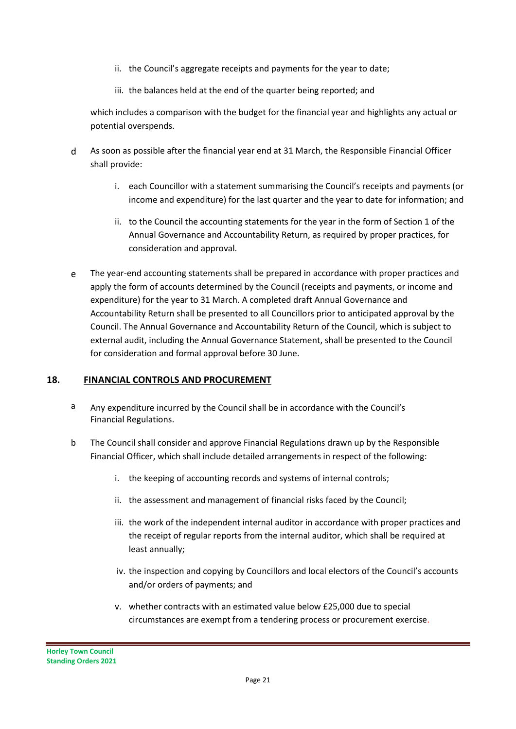- ii. the Council's aggregate receipts and payments for the year to date;
- iii. the balances held at the end of the quarter being reported; and

which includes a comparison with the budget for the financial year and highlights any actual or potential overspends.

- d As soon as possible after the financial year end at 31 March, the Responsible Financial Officer shall provide:
	- i. each Councillor with a statement summarising the Council's receipts and payments (or income and expenditure) for the last quarter and the year to date for information; and
	- ii. to the Council the accounting statements for the year in the form of Section 1 of the Annual Governance and Accountability Return, as required by proper practices, for consideration and approval.
- e The year-end accounting statements shall be prepared in accordance with proper practices and apply the form of accounts determined by the Council (receipts and payments, or income and expenditure) for the year to 31 March. A completed draft Annual Governance and Accountability Return shall be presented to all Councillors prior to anticipated approval by the Council. The Annual Governance and Accountability Return of the Council, which is subject to external audit, including the Annual Governance Statement, shall be presented to the Council for consideration and formal approval before 30 June.

#### **18. FINANCIAL CONTROLS AND PROCUREMENT**

- a Any expenditure incurred by the Council shall be in accordance with the Council's Financial Regulations.
- b The Council shall consider and approve Financial Regulations drawn up by the Responsible Financial Officer, which shall include detailed arrangements in respect of the following:
	- i. the keeping of accounting records and systems of internal controls;
	- ii. the assessment and management of financial risks faced by the Council;
	- iii. the work of the independent internal auditor in accordance with proper practices and the receipt of regular reports from the internal auditor, which shall be required at least annually;
	- iv. the inspection and copying by Councillors and local electors of the Council's accounts and/or orders of payments; and
	- v. whether contracts with an estimated value below £25,000 due to special circumstances are exempt from a tendering process or procurement exercise.

**Horley Town Council Standing Orders 2021**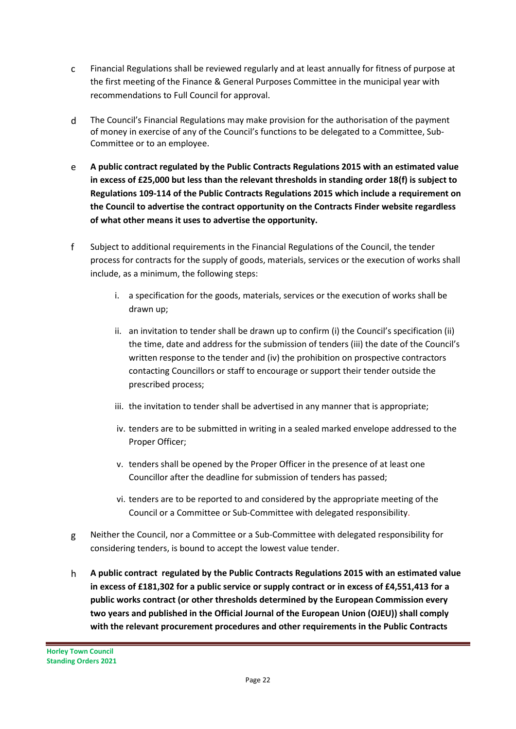- c Financial Regulations shall be reviewed regularly and at least annually for fitness of purpose at the first meeting of the Finance & General Purposes Committee in the municipal year with recommendations to Full Council for approval.
- d The Council's Financial Regulations may make provision for the authorisation of the payment of money in exercise of any of the Council's functions to be delegated to a Committee, Sub-Committee or to an employee.
- e **A public contract regulated by the Public Contracts Regulations 2015 with an estimated value in excess of £25,000 but less than the relevant thresholds in standing order 18(f) is subject to Regulations 109-114 of the Public Contracts Regulations 2015 which include a requirement on the Council to advertise the contract opportunity on the Contracts Finder website regardless of what other means it uses to advertise the opportunity.**
- f Subject to additional requirements in the Financial Regulations of the Council, the tender process for contracts for the supply of goods, materials, services or the execution of works shall include, as a minimum, the following steps:
	- i. a specification for the goods, materials, services or the execution of works shall be drawn up;
	- ii. an invitation to tender shall be drawn up to confirm (i) the Council's specification (ii) the time, date and address for the submission of tenders (iii) the date of the Council's written response to the tender and (iv) the prohibition on prospective contractors contacting Councillors or staff to encourage or support their tender outside the prescribed process;
	- iii. the invitation to tender shall be advertised in any manner that is appropriate;
	- iv. tenders are to be submitted in writing in a sealed marked envelope addressed to the Proper Officer;
	- v. tenders shall be opened by the Proper Officer in the presence of at least one Councillor after the deadline for submission of tenders has passed;
	- vi. tenders are to be reported to and considered by the appropriate meeting of the Council or a Committee or Sub-Committee with delegated responsibility.
- g Neither the Council, nor a Committee or a Sub-Committee with delegated responsibility for considering tenders, is bound to accept the lowest value tender.
- h **A public contract regulated by the Public Contracts Regulations 2015 with an estimated value in excess of £181,302 for a public service or supply contract or in excess of £4,551,413 for a public works contract (or other thresholds determined by the European Commission every two years and published in the Official Journal of the European Union (OJEU)) shall comply with the relevant procurement procedures and other requirements in the Public Contracts**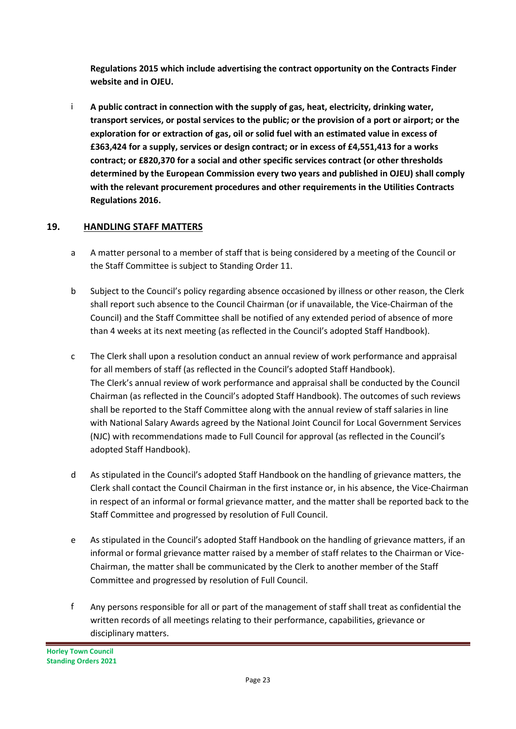**Regulations 2015 which include advertising the contract opportunity on the Contracts Finder website and in OJEU.**

i **A public contract in connection with the supply of gas, heat, electricity, drinking water, transport services, or postal services to the public; or the provision of a port or airport; or the exploration for or extraction of gas, oil or solid fuel with an estimated value in excess of £363,424 for a supply, services or design contract; or in excess of £4,551,413 for a works contract; or £820,370 for a social and other specific services contract (or other thresholds determined by the European Commission every two years and published in OJEU) shall comply with the relevant procurement procedures and other requirements in the Utilities Contracts Regulations 2016.**

# **19. HANDLING STAFF MATTERS**

- a A matter personal to a member of staff that is being considered by a meeting of the Council or the Staff Committee is subject to Standing Order 11.
- b Subject to the Council's policy regarding absence occasioned by illness or other reason, the Clerk shall report such absence to the Council Chairman (or if unavailable, the Vice-Chairman of the Council) and the Staff Committee shall be notified of any extended period of absence of more than 4 weeks at its next meeting (as reflected in the Council's adopted Staff Handbook).
- c The Clerk shall upon a resolution conduct an annual review of work performance and appraisal for all members of staff (as reflected in the Council's adopted Staff Handbook). The Clerk's annual review of work performance and appraisal shall be conducted by the Council Chairman (as reflected in the Council's adopted Staff Handbook). The outcomes of such reviews shall be reported to the Staff Committee along with the annual review of staff salaries in line with National Salary Awards agreed by the National Joint Council for Local Government Services (NJC) with recommendations made to Full Council for approval (as reflected in the Council's adopted Staff Handbook).
- d As stipulated in the Council's adopted Staff Handbook on the handling of grievance matters, the Clerk shall contact the Council Chairman in the first instance or, in his absence, the Vice-Chairman in respect of an informal or formal grievance matter, and the matter shall be reported back to the Staff Committee and progressed by resolution of Full Council.
- e As stipulated in the Council's adopted Staff Handbook on the handling of grievance matters, if an informal or formal grievance matter raised by a member of staff relates to the Chairman or Vice-Chairman, the matter shall be communicated by the Clerk to another member of the Staff Committee and progressed by resolution of Full Council.
- f Any persons responsible for all or part of the management of staff shall treat as confidential the written records of all meetings relating to their performance, capabilities, grievance or disciplinary matters.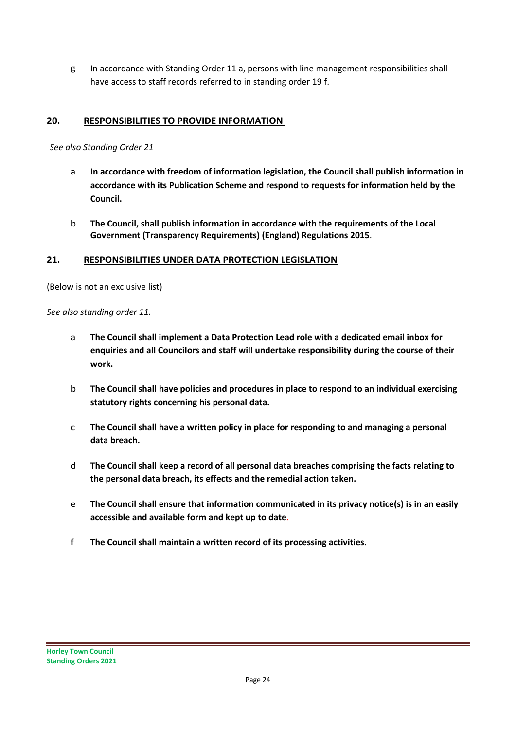g In accordance with Standing Order 11 a, persons with line management responsibilities shall have access to staff records referred to in standing order 19 f.

## **20. RESPONSIBILITIES TO PROVIDE INFORMATION**

#### *See also Standing Order 21*

- a **In accordance with freedom of information legislation, the Council shall publish information in accordance with its Publication Scheme and respond to requests for information held by the Council.**
- b **The Council, shall publish information in accordance with the requirements of the Local Government (Transparency Requirements) (England) Regulations 2015**.

#### **21. RESPONSIBILITIES UNDER DATA PROTECTION LEGISLATION**

(Below is not an exclusive list)

*See also standing order 11.*

- a **The Council shall implement a Data Protection Lead role with a dedicated email inbox for enquiries and all Councilors and staff will undertake responsibility during the course of their work.**
- b **The Council shall have policies and procedures in place to respond to an individual exercising statutory rights concerning his personal data.**
- c **The Council shall have a written policy in place for responding to and managing a personal data breach.**
- d **The Council shall keep a record of all personal data breaches comprising the facts relating to the personal data breach, its effects and the remedial action taken.**
- e **The Council shall ensure that information communicated in its privacy notice(s) is in an easily accessible and available form and kept up to date.**
- f **The Council shall maintain a written record of its processing activities.**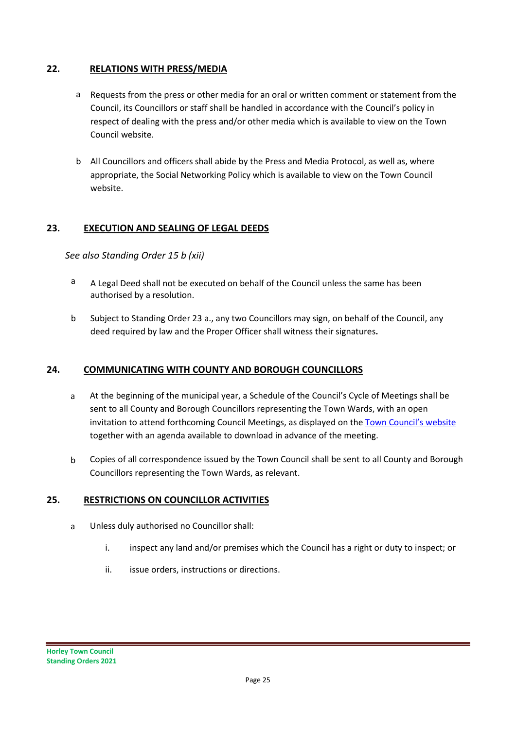## **22. RELATIONS WITH PRESS/MEDIA**

- a Requests from the press or other media for an oral or written comment or statement from the Council, its Councillors or staff shall be handled in accordance with the Council's policy in respect of dealing with the press and/or other media which is available to view on the Town Council website.
- b All Councillors and officers shall abide by the Press and Media Protocol, as well as, where appropriate, the Social Networking Policy which is available to view on the Town Council website.

## **23. EXECUTION AND SEALING OF LEGAL DEEDS**

*See also Standing Order 15 b (xii)*

- a A Legal Deed shall not be executed on behalf of the Council unless the same has been authorised by a resolution.
- b Subject to Standing Order 23 a., any two Councillors may sign, on behalf of the Council, any deed required by law and the Proper Officer shall witness their signatures**.**

## **24. COMMUNICATING WITH COUNTY AND BOROUGH COUNCILLORS**

- a At the beginning of the municipal year, a Schedule of the Council's Cycle of Meetings shall be sent to all County and Borough Councillors representing the Town Wards, with an open invitation to attend forthcoming Council Meetings, as displayed on th[e Town Council's website](https://www.horleysurrey-tc.gov.uk/meetings) together with an agenda available to download in advance of the meeting.
- b Copies of all correspondence issued by the Town Council shall be sent to all County and Borough Councillors representing the Town Wards, as relevant.

#### **25. RESTRICTIONS ON COUNCILLOR ACTIVITIES**

- a Unless duly authorised no Councillor shall:
	- i. inspect any land and/or premises which the Council has a right or duty to inspect; or
	- ii. issue orders, instructions or directions.